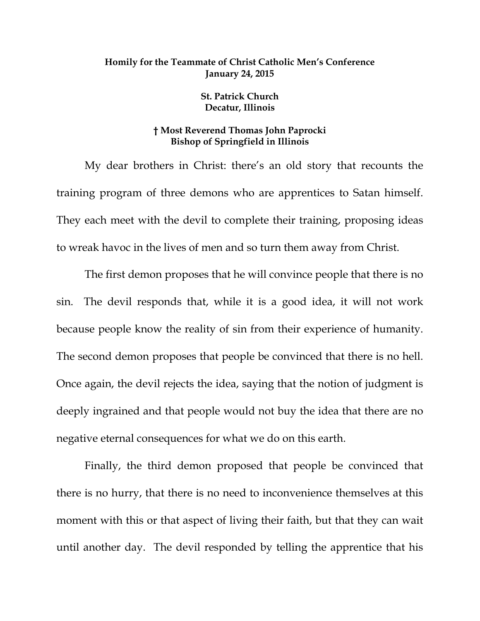## **Homily for the Teammate of Christ Catholic Men's Conference January 24, 2015**

**St. Patrick Church Decatur, Illinois** 

## **† Most Reverend Thomas John Paprocki Bishop of Springfield in Illinois**

My dear brothers in Christ: there's an old story that recounts the training program of three demons who are apprentices to Satan himself. They each meet with the devil to complete their training, proposing ideas to wreak havoc in the lives of men and so turn them away from Christ.

The first demon proposes that he will convince people that there is no sin. The devil responds that, while it is a good idea, it will not work because people know the reality of sin from their experience of humanity. The second demon proposes that people be convinced that there is no hell. Once again, the devil rejects the idea, saying that the notion of judgment is deeply ingrained and that people would not buy the idea that there are no negative eternal consequences for what we do on this earth.

Finally, the third demon proposed that people be convinced that there is no hurry, that there is no need to inconvenience themselves at this moment with this or that aspect of living their faith, but that they can wait until another day. The devil responded by telling the apprentice that his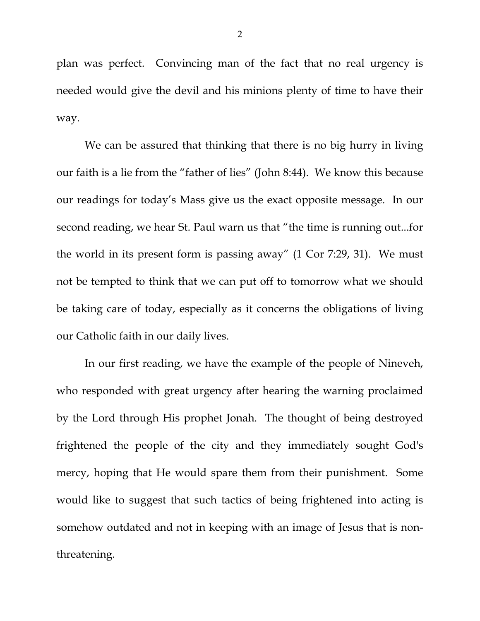plan was perfect. Convincing man of the fact that no real urgency is needed would give the devil and his minions plenty of time to have their way.

We can be assured that thinking that there is no big hurry in living our faith is a lie from the "father of lies" (John 8:44). We know this because our readings for today's Mass give us the exact opposite message. In our second reading, we hear St. Paul warn us that "the time is running out...for the world in its present form is passing away" (1 Cor 7:29, 31). We must not be tempted to think that we can put off to tomorrow what we should be taking care of today, especially as it concerns the obligations of living our Catholic faith in our daily lives.

In our first reading, we have the example of the people of Nineveh, who responded with great urgency after hearing the warning proclaimed by the Lord through His prophet Jonah. The thought of being destroyed frightened the people of the city and they immediately sought God's mercy, hoping that He would spare them from their punishment. Some would like to suggest that such tactics of being frightened into acting is somehow outdated and not in keeping with an image of Jesus that is nonthreatening.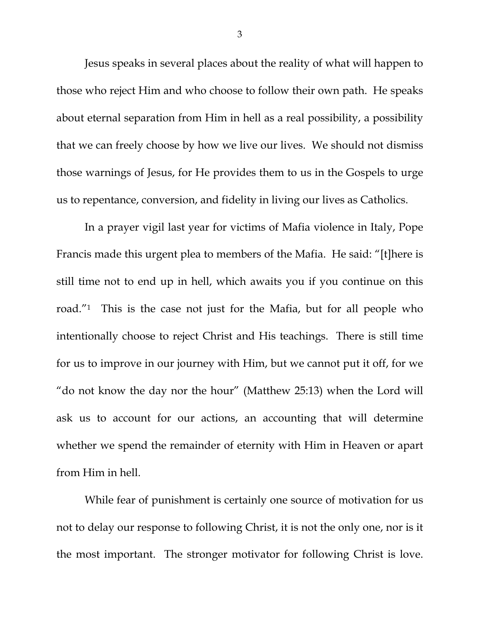Jesus speaks in several places about the reality of what will happen to those who reject Him and who choose to follow their own path. He speaks about eternal separation from Him in hell as a real possibility, a possibility that we can freely choose by how we live our lives. We should not dismiss those warnings of Jesus, for He provides them to us in the Gospels to urge us to repentance, conversion, and fidelity in living our lives as Catholics.

In a prayer vigil last year for victims of Mafia violence in Italy, Pope Francis made this urgent plea to members of the Mafia. He said: "[t]here is still time not to end up in hell, which awaits you if you continue on this road."1 This is the case not just for the Mafia, but for all people who intentionally choose to reject Christ and His teachings. There is still time for us to improve in our journey with Him, but we cannot put it off, for we "do not know the day nor the hour" (Matthew 25:13) when the Lord will ask us to account for our actions, an accounting that will determine whether we spend the remainder of eternity with Him in Heaven or apart from Him in hell.

While fear of punishment is certainly one source of motivation for us not to delay our response to following Christ, it is not the only one, nor is it the most important. The stronger motivator for following Christ is love.

3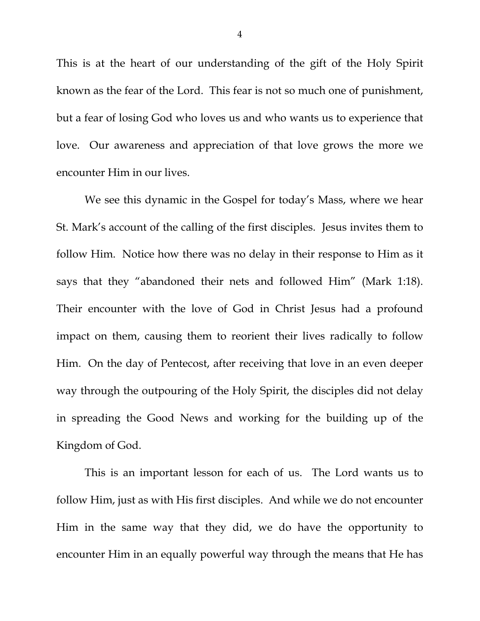This is at the heart of our understanding of the gift of the Holy Spirit known as the fear of the Lord. This fear is not so much one of punishment, but a fear of losing God who loves us and who wants us to experience that love. Our awareness and appreciation of that love grows the more we encounter Him in our lives.

We see this dynamic in the Gospel for today's Mass, where we hear St. Mark's account of the calling of the first disciples. Jesus invites them to follow Him. Notice how there was no delay in their response to Him as it says that they "abandoned their nets and followed Him" (Mark 1:18). Their encounter with the love of God in Christ Jesus had a profound impact on them, causing them to reorient their lives radically to follow Him. On the day of Pentecost, after receiving that love in an even deeper way through the outpouring of the Holy Spirit, the disciples did not delay in spreading the Good News and working for the building up of the Kingdom of God.

This is an important lesson for each of us. The Lord wants us to follow Him, just as with His first disciples. And while we do not encounter Him in the same way that they did, we do have the opportunity to encounter Him in an equally powerful way through the means that He has

4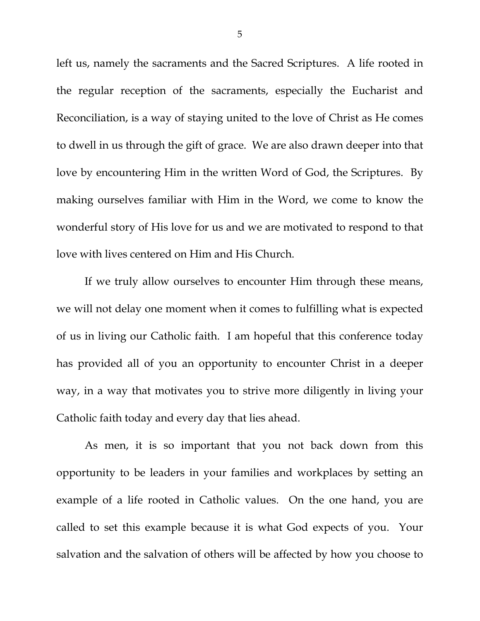left us, namely the sacraments and the Sacred Scriptures. A life rooted in the regular reception of the sacraments, especially the Eucharist and Reconciliation, is a way of staying united to the love of Christ as He comes to dwell in us through the gift of grace. We are also drawn deeper into that love by encountering Him in the written Word of God, the Scriptures. By making ourselves familiar with Him in the Word, we come to know the wonderful story of His love for us and we are motivated to respond to that love with lives centered on Him and His Church.

If we truly allow ourselves to encounter Him through these means, we will not delay one moment when it comes to fulfilling what is expected of us in living our Catholic faith. I am hopeful that this conference today has provided all of you an opportunity to encounter Christ in a deeper way, in a way that motivates you to strive more diligently in living your Catholic faith today and every day that lies ahead.

As men, it is so important that you not back down from this opportunity to be leaders in your families and workplaces by setting an example of a life rooted in Catholic values. On the one hand, you are called to set this example because it is what God expects of you. Your salvation and the salvation of others will be affected by how you choose to